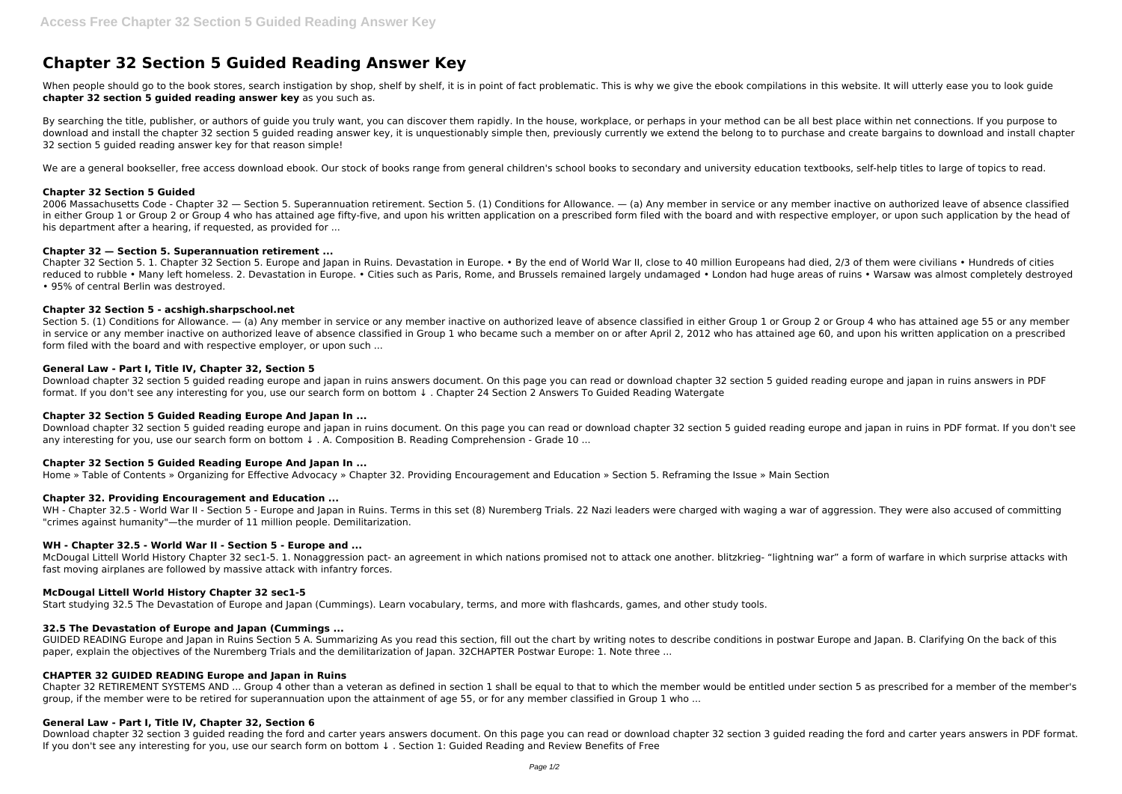# **Chapter 32 Section 5 Guided Reading Answer Key**

When people should go to the book stores, search instigation by shop, shelf by shelf, it is in point of fact problematic. This is why we give the ebook compilations in this website. It will utterly ease you to look guide **chapter 32 section 5 guided reading answer key** as you such as.

By searching the title, publisher, or authors of quide you truly want, you can discover them rapidly. In the house, workplace, or perhaps in your method can be all best place within net connections. If you purpose to download and install the chapter 32 section 5 guided reading answer key, it is unquestionably simple then, previously currently we extend the belong to to purchase and create bargains to download and install chapter 32 section 5 guided reading answer key for that reason simple!

We are a general bookseller, free access download ebook. Our stock of books range from general children's school books to secondary and university education textbooks, self-help titles to large of topics to read.

2006 Massachusetts Code - Chapter 32 — Section 5. Superannuation retirement. Section 5. (1) Conditions for Allowance. — (a) Any member in service or any member inactive on authorized leave of absence classified in either Group 1 or Group 2 or Group 4 who has attained age fifty-five, and upon his written application on a prescribed form filed with the board and with respective employer, or upon such application by the head of his department after a hearing, if requested, as provided for ...

Chapter 32 Section 5. 1. Chapter 32 Section 5. Europe and Japan in Ruins. Devastation in Europe. • By the end of World War II, close to 40 million Europeans had died, 2/3 of them were civilians • Hundreds of cities reduced to rubble • Many left homeless. 2. Devastation in Europe. • Cities such as Paris, Rome, and Brussels remained largely undamaged • London had huge areas of ruins • Warsaw was almost completely destroyed • 95% of central Berlin was destroyed.

# **Chapter 32 Section 5 Guided**

Section 5. (1) Conditions for Allowance. — (a) Any member in service or any member inactive on authorized leave of absence classified in either Group 1 or Group 2 or Group 4 who has attained age 55 or any member in service or any member inactive on authorized leave of absence classified in Group 1 who became such a member on or after April 2, 2012 who has attained age 60, and upon his written application on a prescribed form filed with the board and with respective employer, or upon such ...

## **Chapter 32 — Section 5. Superannuation retirement ...**

WH - Chapter 32.5 - World War II - Section 5 - Europe and Japan in Ruins. Terms in this set (8) Nuremberg Trials. 22 Nazi leaders were charged with waging a war of aggression. They were also accused of committing "crimes against humanity"—the murder of 11 million people. Demilitarization.

# **Chapter 32 Section 5 - acshigh.sharpschool.net**

# **General Law - Part I, Title IV, Chapter 32, Section 5**

Download chapter 32 section 5 guided reading europe and japan in ruins answers document. On this page you can read or download chapter 32 section 5 guided reading europe and japan in ruins answers in PDF format. If you don't see any interesting for you, use our search form on bottom ↓ . Chapter 24 Section 2 Answers To Guided Reading Watergate

## **Chapter 32 Section 5 Guided Reading Europe And Japan In ...**

Download chapter 32 section 5 guided reading europe and japan in ruins document. On this page you can read or download chapter 32 section 5 guided reading europe and japan in ruins in PDF format. If you don't see any interesting for you, use our search form on bottom ↓ . A. Composition B. Reading Comprehension - Grade 10 ...

## **Chapter 32 Section 5 Guided Reading Europe And Japan In ...**

Home » Table of Contents » Organizing for Effective Advocacy » Chapter 32. Providing Encouragement and Education » Section 5. Reframing the Issue » Main Section

## **Chapter 32. Providing Encouragement and Education ...**

## **WH - Chapter 32.5 - World War II - Section 5 - Europe and ...**

McDougal Littell World History Chapter 32 sec1-5. 1. Nonaggression pact- an agreement in which nations promised not to attack one another. blitzkrieg- "lightning war" a form of warfare in which surprise attacks with fast moving airplanes are followed by massive attack with infantry forces.

# **McDougal Littell World History Chapter 32 sec1-5**

Start studying 32.5 The Devastation of Europe and Japan (Cummings). Learn vocabulary, terms, and more with flashcards, games, and other study tools.

## **32.5 The Devastation of Europe and Japan (Cummings ...**

GUIDED READING Europe and Japan in Ruins Section 5 A. Summarizing As you read this section, fill out the chart by writing notes to describe conditions in postwar Europe and Japan. B. Clarifying On the back of this paper, explain the objectives of the Nuremberg Trials and the demilitarization of Japan. 32CHAPTER Postwar Europe: 1. Note three ...

# **CHAPTER 32 GUIDED READING Europe and Japan in Ruins**

Chapter 32 RETIREMENT SYSTEMS AND ... Group 4 other than a veteran as defined in section 1 shall be equal to that to which the member would be entitled under section 5 as prescribed for a member of the member's group, if the member were to be retired for superannuation upon the attainment of age 55, or for any member classified in Group 1 who ...

## **General Law - Part I, Title IV, Chapter 32, Section 6**

Download chapter 32 section 3 guided reading the ford and carter years answers document. On this page you can read or download chapter 32 section 3 guided reading the ford and carter years answers in PDF format. If you don't see any interesting for you, use our search form on bottom ↓ . Section 1: Guided Reading and Review Benefits of Free